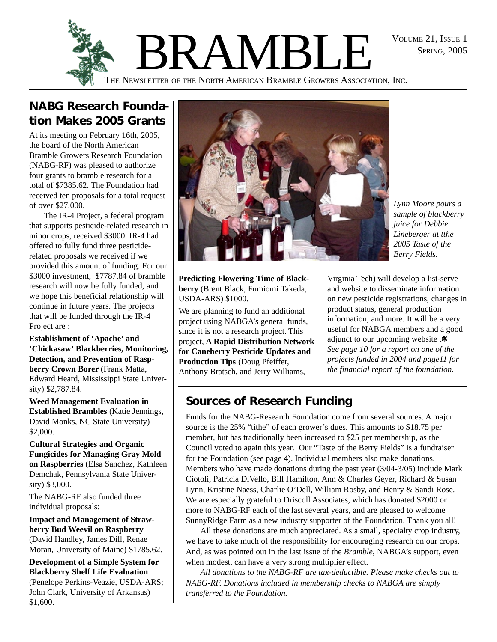SPRING, 2005



# **NABG Research Foundation Makes 2005 Grants**

At its meeting on February 16th, 2005, the board of the North American Bramble Growers Research Foundation (NABG-RF) was pleased to authorize four grants to bramble research for a total of \$7385.62. The Foundation had received ten proposals for a total request of over \$27,000.

The IR-4 Project, a federal program that supports pesticide-related research in minor crops, received \$3000. IR-4 had offered to fully fund three pesticiderelated proposals we received if we provided this amount of funding. For our \$3000 investment, \$7787.84 of bramble research will now be fully funded, and we hope this beneficial relationship will continue in future years. The projects that will be funded through the IR-4 Project are :

**Establishment of 'Apache' and 'Chickasaw' Blackberries, Monitoring, Detection, and Prevention of Raspberry Crown Borer** (Frank Matta, Edward Heard, Mississippi State University) \$2,787.84.

**Weed Management Evaluation in Established Brambles** (Katie Jennings, David Monks, NC State University) \$2,000.

**Cultural Strategies and Organic Fungicides for Managing Gray Mold on Raspberries** (Elsa Sanchez, Kathleen Demchak, Pennsylvania State University) \$3,000.

The NABG-RF also funded three individual proposals:

**Impact and Management of Strawberry Bud Weevil on Raspberry** (David Handley, James Dill, Renae Moran, University of Maine) \$1785.62.

**Development of a Simple System for Blackberry Shelf Life Evaluation** (Penelope Perkins-Veazie, USDA-ARS; John Clark, University of Arkansas) \$1,600.



*Lynn Moore pours a sample of blackberry juice for Debbie Lineberger at tthe 2005 Taste of the Berry Fields.*

**Predicting Flowering Time of Blackberry** (Brent Black, Fumiomi Takeda, USDA-ARS) \$1000.

We are planning to fund an additional project using NABGA's general funds, since it is not a research project. This project, **A Rapid Distribution Network for Caneberry Pesticide Updates and Production Tips** (Doug Pfeiffer, Anthony Bratsch, and Jerry Williams,

Virginia Tech) will develop a list-serve and website to disseminate information on new pesticide registrations, changes in product status, general production information, and more. It will be a very useful for NABGA members and a good adjunct to our upcoming website . $\ast$ *See page 10 for a report on one of the projects funded in 2004 and page11 for the financial report of the foundation.*

# **Sources of Research Funding**

Funds for the NABG-Research Foundation come from several sources. A major source is the 25% "tithe" of each grower's dues. This amounts to \$18.75 per member, but has traditionally been increased to \$25 per membership, as the Council voted to again this year. Our "Taste of the Berry Fields" is a fundraiser for the Foundation (see page 4). Individual members also make donations. Members who have made donations during the past year (3/04-3/05) include Mark Ciotoli, Patricia DiVello, Bill Hamilton, Ann & Charles Geyer, Richard & Susan Lynn, Kristine Naess, Charlie O'Dell, William Rosby, and Henry & Sandi Rose. We are especially grateful to Driscoll Associates, which has donated \$2000 or more to NABG-RF each of the last several years, and are pleased to welcome SunnyRidge Farm as a new industry supporter of the Foundation. Thank you all!

All these donations are much appreciated. As a small, specialty crop industry, we have to take much of the responsibility for encouraging research on our crops. And, as was pointed out in the last issue of the *Bramble*, NABGA's support, even when modest, can have a very strong multiplier effect.

*All donations to the NABG-RF are tax-deductible. Please make checks out to NABG-RF. Donations included in membership checks to NABGA are simply transferred to the Foundation.*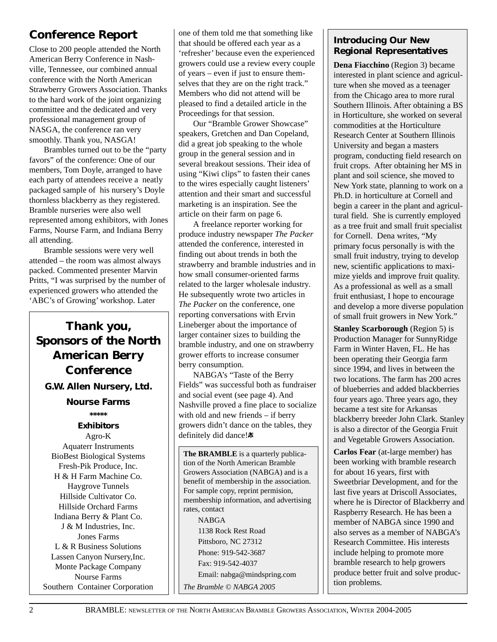## **Conference Report**

Close to 200 people attended the North American Berry Conference in Nashville, Tennessee, our combined annual conference with the North American Strawberry Growers Association. Thanks to the hard work of the joint organizing committee and the dedicated and very professional management group of NASGA, the conference ran very smoothly. Thank you, NASGA!

Brambles turned out to be the "party favors" of the conference: One of our members, Tom Doyle, arranged to have each party of attendees receive a neatly packaged sample of his nursery's Doyle thornless blackberry as they registered. Bramble nurseries were also well represented among exhibitors, with Jones Farms, Nourse Farm, and Indiana Berry all attending.

Bramble sessions were very well attended – the room was almost always packed. Commented presenter Marvin Pritts, "I was surprised by the number of experienced growers who attended the 'ABC's of Growing' workshop. Later

# *Thank you, Sponsors of the North American Berry Conference*

**G.W. Allen Nursery, Ltd.**

#### **Nourse Farms**

## *\*\*\*\*\* Exhibitors*

Agro-K Aquaterr Instruments BioBest Biological Systems Fresh-Pik Produce, Inc. H & H Farm Machine Co. Haygrove Tunnels Hillside Cultivator Co. Hillside Orchard Farms Indiana Berry & Plant Co. J & M Industries, Inc. Jones Farms L & R Business Solutions Lassen Canyon Nursery,Inc. Monte Package Company Nourse Farms Southern Container Corporation

one of them told me that something like that should be offered each year as a 'refresher' because even the experienced growers could use a review every couple of years – even if just to ensure themselves that they are on the right track." Members who did not attend will be pleased to find a detailed article in the Proceedings for that session.

Our "Bramble Grower Showcase" speakers, Gretchen and Dan Copeland, did a great job speaking to the whole group in the general session and in several breakout sessions. Their idea of using "Kiwi clips" to fasten their canes to the wires especially caught listeners' attention and their smart and successful marketing is an inspiration. See the article on their farm on page 6.

A freelance reporter working for produce industry newspaper *The Packer* attended the conference, interested in finding out about trends in both the strawberry and bramble industries and in how small consumer-oriented farms related to the larger wholesale industry. He subsequently wrote two articles in *The Packer* on the conference, one reporting conversations with Ervin Lineberger about the importance of larger container sizes to building the bramble industry, and one on strawberry grower efforts to increase consumer berry consumption.

NABGA's "Taste of the Berry Fields" was successful both as fundraiser and social event (see page 4). And Nashville proved a fine place to socialize with old and new friends – if berry growers didn't dance on the tables, they definitely did dance!

**The BRAMBLE** is a quarterly publication of the North American Bramble Growers Association (NABGA) and is a benefit of membership in the association. For sample copy, reprint permision, membership information, and advertising rates, contact NABGA 1138 Rock Rest Road Pittsboro, NC 27312 Phone: 919-542-3687

Fax: 919-542-4037

Email: nabga@mindspring.com

*The Bramble © NABGA 2005*

## **Introducing Our New Regional Representatives**

**Dena Fiacchino** (Region 3) became interested in plant science and agriculture when she moved as a teenager from the Chicago area to more rural Southern Illinois. After obtaining a BS in Horticulture, she worked on several commodities at the Horticulture Research Center at Southern Illinois University and began a masters program, conducting field research on fruit crops. After obtaining her MS in plant and soil science, she moved to New York state, planning to work on a Ph.D. in horticulture at Cornell and begin a career in the plant and agricultural field. She is currently employed as a tree fruit and small fruit specialist for Cornell. Dena writes, "My primary focus personally is with the small fruit industry, trying to develop new, scientific applications to maximize yields and improve fruit quality. As a professional as well as a small fruit enthusiast, I hope to encourage and develop a more diverse population of small fruit growers in New York."

**Stanley Scarborough** (Region 5) is Production Manager for SunnyRidge Farm in Winter Haven, FL. He has been operating their Georgia farm since 1994, and lives in between the two locations. The farm has 200 acres of blueberries and added blackberries four years ago. Three years ago, they became a test site for Arkansas blackberry breeder John Clark. Stanley is also a director of the Georgia Fruit and Vegetable Growers Association.

**Carlos Fear** (at-large member) has been working with bramble research for about 16 years, first with Sweetbriar Development, and for the last five years at Driscoll Associates, where he is Director of Blackberry and Raspberry Research. He has been a member of NABGA since 1990 and also serves as a member of NABGA's Research Committee. His interests include helping to promote more bramble research to help growers produce better fruit and solve production problems.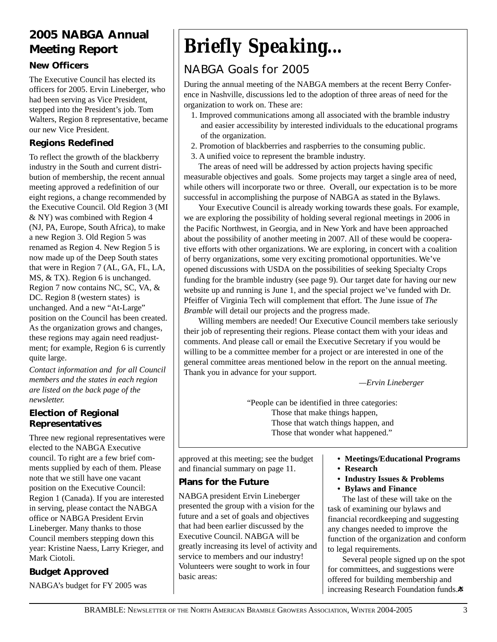# **2005 NABGA Annual Meeting Report**

## **New Officers**

The Executive Council has elected its officers for 2005. Ervin Lineberger, who had been serving as Vice President, stepped into the President's job. Tom Walters, Region 8 representative, became our new Vice President.

## **Regions Redefined**

To reflect the growth of the blackberry industry in the South and current distribution of membership, the recent annual meeting approved a redefinition of our eight regions, a change recommended by the Executive Council. Old Region 3 (MI & NY) was combined with Region 4 (NJ, PA, Europe, South Africa), to make a new Region 3. Old Region 5 was renamed as Region 4. New Region 5 is now made up of the Deep South states that were in Region 7 (AL, GA, FL, LA, MS, & TX). Region 6 is unchanged. Region 7 now contains NC, SC, VA, & DC. Region 8 (western states) is unchanged. And a new "At-Large" position on the Council has been created. As the organization grows and changes, these regions may again need readjustment; for example, Region 6 is currently quite large.

*Contact information and for all Council members and the states in each region are listed on the back page of the newsletter.*

## **Election of Regional Representatives**

Three new regional representatives were elected to the NABGA Executive council. To right are a few brief comments supplied by each of them. Please note that we still have one vacant position on the Executive Council: Region 1 (Canada). If you are interested in serving, please contact the NABGA office or NABGA President Ervin Lineberger. Many thanks to those Council members stepping down this year: Kristine Naess, Larry Krieger, and Mark Ciotoli.

## **Budget Approved**

NABGA's budget for FY 2005 was

# *Briefly Speaking...*

# NABGA Goals for 2005

During the annual meeting of the NABGA members at the recent Berry Conference in Nashville, discussions led to the adoption of three areas of need for the organization to work on. These are:

- 1. Improved communications among all associated with the bramble industry and easier accessibility by interested individuals to the educational programs of the organization.
- 2. Promotion of blackberries and raspberries to the consuming public.
- 3. A unified voice to represent the bramble industry.

The areas of need will be addressed by action projects having specific measurable objectives and goals. Some projects may target a single area of need, while others will incorporate two or three. Overall, our expectation is to be more successful in accomplishing the purpose of NABGA as stated in the Bylaws.

Your Executive Council is already working towards these goals. For example, we are exploring the possibility of holding several regional meetings in 2006 in the Pacific Northwest, in Georgia, and in New York and have been approached about the possibility of another meeting in 2007. All of these would be cooperative efforts with other organizations. We are exploring, in concert with a coalition of berry organizations, some very exciting promotional opportunities. We've opened discussions with USDA on the possibilities of seeking Specialty Crops funding for the bramble industry (see page 9). Our target date for having our new website up and running is June 1, and the special project we've funded with Dr. Pfeiffer of Virginia Tech will complement that effort. The June issue of *The Bramble* will detail our projects and the progress made.

Willing members are needed! Our Executive Council members take seriously their job of representing their regions. Please contact them with your ideas and comments. And please call or email the Executive Secretary if you would be willing to be a committee member for a project or are interested in one of the general committee areas mentioned below in the report on the annual meeting. Thank you in advance for your support.

*—Ervin Lineberger*

"People can be identified in three categories: Those that make things happen, Those that watch things happen, and Those that wonder what happened."

approved at this meeting; see the budget and financial summary on page 11.

## **Plans for the Future**

NABGA president Ervin Lineberger presented the group with a vision for the future and a set of goals and objectives that had been earlier discussed by the Executive Council. NABGA will be greatly increasing its level of activity and service to members and our industry! Volunteers were sought to work in four basic areas:

- **Meetings/Educational Programs**
- **Research**
- **Industry Issues & Problems**
- **Bylaws and Finance**

The last of these will take on the task of examining our bylaws and financial recordkeeping and suggesting any changes needed to improve the function of the organization and conform to legal requirements.

Several people signed up on the spot for committees, and suggestions were offered for building membership and increasing Research Foundation funds. $*$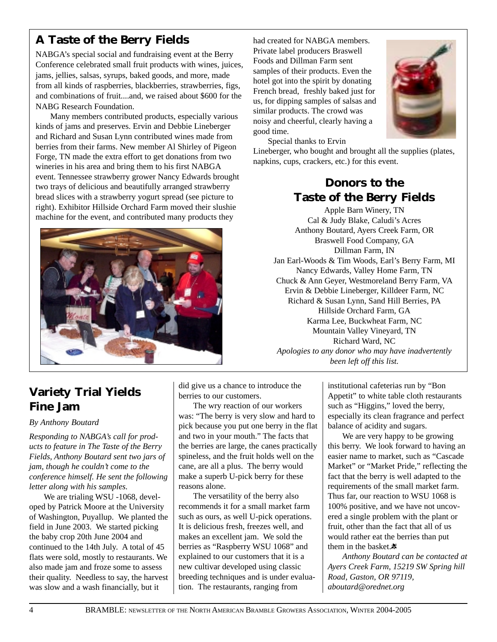# **A Taste of the Berry Fields**

NABGA's special social and fundraising event at the Berry Conference celebrated small fruit products with wines, juices, jams, jellies, salsas, syrups, baked goods, and more, made from all kinds of raspberries, blackberries, strawberries, figs, and combinations of fruit....and, we raised about \$600 for the NABG Research Foundation.

Many members contributed products, especially various kinds of jams and preserves. Ervin and Debbie Lineberger and Richard and Susan Lynn contributed wines made from berries from their farms. New member Al Shirley of Pigeon Forge, TN made the extra effort to get donations from two wineries in his area and bring them to his first NABGA event. Tennessee strawberry grower Nancy Edwards brought two trays of delicious and beautifully arranged strawberry bread slices with a strawberry yogurt spread (see picture to right). Exhibitor Hillside Orchard Farm moved their slushie machine for the event, and contributed many products they



had created for NABGA members. Private label producers Braswell Foods and Dillman Farm sent samples of their products. Even the hotel got into the spirit by donating French bread, freshly baked just for us, for dipping samples of salsas and similar products. The crowd was noisy and cheerful, clearly having a good time.



Special thanks to Ervin

Lineberger, who bought and brought all the supplies (plates, napkins, cups, crackers, etc.) for this event.

## **Donors to the Taste of the Berry Fields**

Apple Barn Winery, TN Cal & Judy Blake, Caludi's Acres Anthony Boutard, Ayers Creek Farm, OR Braswell Food Company, GA Dillman Farm, IN Jan Earl-Woods & Tim Woods, Earl's Berry Farm, MI Nancy Edwards, Valley Home Farm, TN Chuck & Ann Geyer, Westmoreland Berry Farm, VA Ervin & Debbie Lineberger, Killdeer Farm, NC Richard & Susan Lynn, Sand Hill Berries, PA Hillside Orchard Farm, GA Karma Lee, Buckwheat Farm, NC Mountain Valley Vineyard, TN Richard Ward, NC *Apologies to any donor who may have inadvertently been left off this list.*

# **Variety Trial Yields Fine Jam**

#### *By Anthony Boutard*

*Responding to NABGA's call for products to feature in The Taste of the Berry Fields, Anthony Boutard sent two jars of jam, though he couldn't come to the conference himself. He sent the following letter along with his samples.*

We are trialing WSU -1068, developed by Patrick Moore at the University of Washington, Puyallup. We planted the field in June 2003. We started picking the baby crop 20th June 2004 and continued to the 14th July. A total of 45 flats were sold, mostly to restaurants. We also made jam and froze some to assess their quality. Needless to say, the harvest was slow and a wash financially, but it

did give us a chance to introduce the berries to our customers.

The wry reaction of our workers was: "The berry is very slow and hard to pick because you put one berry in the flat and two in your mouth." The facts that the berries are large, the canes practically spineless, and the fruit holds well on the cane, are all a plus. The berry would make a superb U-pick berry for these reasons alone.

The versatility of the berry also recommends it for a small market farm such as ours, as well U-pick operations. It is delicious fresh, freezes well, and makes an excellent jam. We sold the berries as "Raspberry WSU 1068" and explained to our customers that it is a new cultivar developed using classic breeding techniques and is under evaluation. The restaurants, ranging from

institutional cafeterias run by "Bon Appetit" to white table cloth restaurants such as "Higgins," loved the berry, especially its clean fragrance and perfect balance of acidity and sugars.

We are very happy to be growing this berry. We look forward to having an easier name to market, such as "Cascade Market" or "Market Pride," reflecting the fact that the berry is well adapted to the requirements of the small market farm. Thus far, our reaction to WSU 1068 is 100% positive, and we have not uncovered a single problem with the plant or fruit, other than the fact that all of us would rather eat the berries than put them in the basket.

*Anthony Boutard can be contacted at Ayers Creek Farm, 15219 SW Spring hill Road, Gaston, OR 97119, aboutard@orednet.org*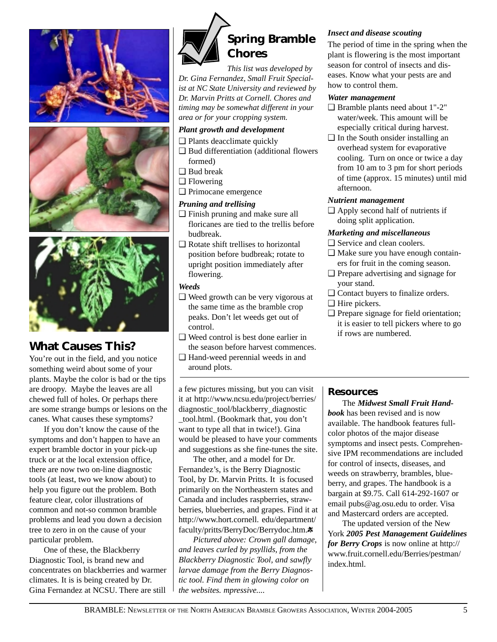





# **What Causes** *This***?**

You're out in the field, and you notice something weird about some of your plants. Maybe the color is bad or the tips are droopy. Maybe the leaves are all chewed full of holes. Or perhaps there are some strange bumps or lesions on the canes. What causes these symptoms?

If you don't know the cause of the symptoms and don't happen to have an expert bramble doctor in your pick-up truck or at the local extension office, there are now two on-line diagnostic tools (at least, two we know about) to help you figure out the problem. Both feature clear, color illustrations of common and not-so common bramble problems and lead you down a decision tree to zero in on the cause of your particular problem.

One of these, the Blackberry Diagnostic Tool, is brand new and concentrates on blackberries and warmer climates. It is is being created by Dr. Gina Fernandez at NCSU. There are still



*This list was developed by Dr. Gina Fernandez, Small Fruit Specialist at NC State University and reviewed by Dr. Marvin Pritts at Cornell. Chores and timing may be somewhat different in your area or for your cropping system.*

#### *Plant growth and development*

- ❑ Plants deacclimate quickly
- ❑ Bud differentiation (additional flowers formed)
- ❑ Bud break
- ❑ Flowering
- ❑ Primocane emergence

#### *Pruning and trellising*

- ❑ Finish pruning and make sure all floricanes are tied to the trellis before budbreak.
- ❑ Rotate shift trellises to horizontal position before budbreak; rotate to upright position immediately after flowering.

#### *Weeds*

- ❑ Weed growth can be very vigorous at the same time as the bramble crop peaks. Don't let weeds get out of control.
- ❑ Weed control is best done earlier in the season before harvest commences.
- ❑ Hand-weed perennial weeds in and around plots.

a few pictures missing, but you can visit it at http://www.ncsu.edu/project/berries/ diagnostic\_tool/blackberry\_diagnostic \_tool.html. (Bookmark that, you don't want to type all that in twice!). Gina would be pleased to have your comments and suggestions as she fine-tunes the site.

The other, and a model for Dr. Fernandez's, is the Berry Diagnostic Tool, by Dr. Marvin Pritts. It is focused primarily on the Northeastern states and Canada and includes raspberries, strawberries, blueberries, and grapes. Find it at http://www.hort.cornell. edu/department/ faculty/pritts/BerryDoc/Berrydoc.htm.

*Pictured above: Crown gall damage, and leaves curled by psyllids, from the Blackberry Diagnostic Tool, and sawfly larvae damage from the Berry Diagnostic tool. Find them in glowing color on the websites. mpressive....*

#### *Insect and disease scouting*

The period of time in the spring when the plant is flowering is the most important season for control of insects and diseases. Know what your pests are and how to control them.

#### *Water management*

- ❑ Bramble plants need about 1"-2" water/week. This amount will be especially critical during harvest.
- ❑ In the South onsider installing an overhead system for evaporative cooling. Turn on once or twice a day from 10 am to 3 pm for short periods of time (approx. 15 minutes) until mid afternoon.

#### *Nutrient management*

❑ Apply second half of nutrients if doing split application.

#### *Marketing and miscellaneous*

- □ Service and clean coolers.
- ❑ Make sure you have enough containers for fruit in the coming season.
- ❑ Prepare advertising and signage for your stand.
- ❑ Contact buyers to finalize orders.
- ❑ Hire pickers.
- ❑ Prepare signage for field orientation; it is easier to tell pickers where to go if rows are numbered.

#### **Resources**

The *Midwest Small Fruit Handbook* has been revised and is now available. The handbook features fullcolor photos of the major disease symptoms and insect pests. Comprehensive IPM recommendations are included for control of insects, diseases, and weeds on strawberry, brambles, blueberry, and grapes. The handbook is a bargain at \$9.75. Call 614-292-1607 or email pubs@ag.osu.edu to order. Visa and Mastercard orders are accepted.

The updated version of the New York *2005 Pest Management Guidelines for Berry Crops* is now online at http:// www.fruit.cornell.edu/Berries/pestman/ index.html.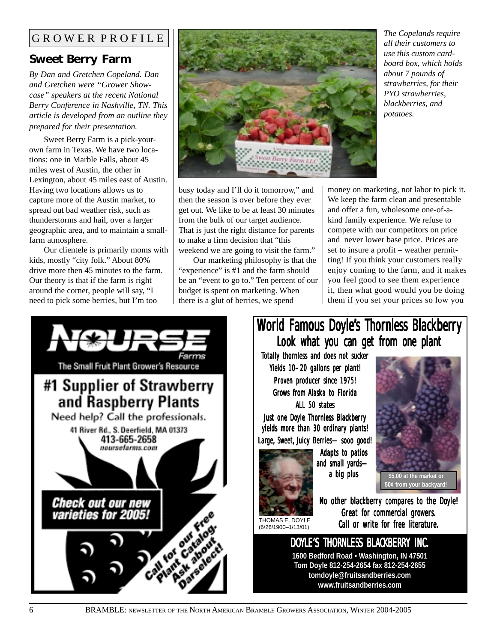## GROWER PROFILE

## **Sweet Berry Farm**

*By Dan and Gretchen Copeland. Dan and Gretchen were "Grower Showcase" speakers at the recent National Berry Conference in Nashville, TN. This article is developed from an outline they prepared for their presentation.*

Sweet Berry Farm is a pick-yourown farm in Texas. We have two locations: one in Marble Falls, about 45 miles west of Austin, the other in Lexington, about 45 miles east of Austin. Having two locations allows us to capture more of the Austin market, to spread out bad weather risk, such as thunderstorms and hail, over a larger geographic area, and to maintain a smallfarm atmosphere.

Our clientele is primarily moms with kids, mostly "city folk." About 80% drive more then 45 minutes to the farm. Our theory is that if the farm is right around the corner, people will say, "I need to pick some berries, but I'm too



busy today and I'll do it tomorrow," and then the season is over before they ever get out. We like to be at least 30 minutes from the bulk of our target audience. That is just the right distance for parents to make a firm decision that "this weekend we are going to visit the farm."

Our marketing philosophy is that the "experience" is #1 and the farm should be an "event to go to." Ten percent of our budget is spent on marketing. When there is a glut of berries, we spend

money on marketing, not labor to pick it. We keep the farm clean and presentable and offer a fun, wholesome one-of-akind family experience. We refuse to compete with our competitors on price and never lower base price. Prices are set to insure a profit – weather permitting! If you think your customers really enjoy coming to the farm, and it makes you feel good to see them experience it, then what good would you be doing them if you set your prices so low you

*potatoes.*

*The Copelands require all their customers to use this custom cardboard box, which holds about 7 pounds of strawberries, for their PYO strawberries, blackberries, and*

# The Small Fruit Plant Grower's Resource #1 Supplier of Strawberry and Raspberry Plants Need help? Call the professionals. 41 River Rd., S. Deerfield, MA 01373 413-665-2658 noursefarms.com Check out our new varieties for 2005!

# World Famous Doyle's Thornless Blackberry Look what you can get from one plant

Totally thornless and does not sucker Yields 10–20 gallons per plant! Proven producer since 1975! Grows from Alaska to Florida ALL 50 states

Just one Doyle Thornless Blackberry yields more than 30 ordinary plants! Large, Sweet, Juicy Berries—sooo good!



Adapts to patios and small yards a big plus



**50¢ from your backyard!**

(6/26/1900–1/13/01) No other blackberry compares to the Doyle! Great for commercial growers. Call or write for free literature.

> DOYLE'S THORNLESS BLACKBERRY INC. **1600 Bedford Road • Washington, IN 47501 Tom Doyle 812-254-2654 fax 812-254-2655 tomdoyle@fruitsandberries.com www.fruitsandberries.com**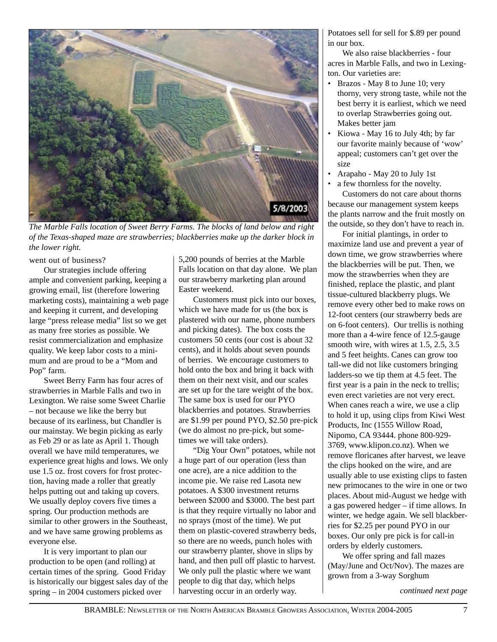

*The Marble Falls location of Sweet Berry Farms. The blocks of land below and right of the Texas-shaped maze are strawberries; blackberries make up the darker block in the lower right.*

went out of business?

Our strategies include offering ample and convenient parking, keeping a growing email, list (therefore lowering marketing costs), maintaining a web page and keeping it current, and developing large "press release media" list so we get as many free stories as possible. We resist commercialization and emphasize quality. We keep labor costs to a minimum and are proud to be a "Mom and Pop" farm.

Sweet Berry Farm has four acres of strawberries in Marble Falls and two in Lexington. We raise some Sweet Charlie – not because we like the berry but because of its earliness, but Chandler is our mainstay. We begin picking as early as Feb 29 or as late as April 1. Though overall we have mild temperatures, we experience great highs and lows. We only use 1.5 oz. frost covers for frost protection, having made a roller that greatly helps putting out and taking up covers. We usually deploy covers five times a spring. Our production methods are similar to other growers in the Southeast, and we have same growing problems as everyone else.

It is very important to plan our production to be open (and rolling) at certain times of the spring. Good Friday is historically our biggest sales day of the spring – in 2004 customers picked over

5,200 pounds of berries at the Marble Falls location on that day alone. We plan our strawberry marketing plan around Easter weekend.

Customers must pick into our boxes, which we have made for us (the box is plastered with our name, phone numbers and picking dates). The box costs the customers 50 cents (our cost is about 32 cents), and it holds about seven pounds of berries. We encourage customers to hold onto the box and bring it back with them on their next visit, and our scales are set up for the tare weight of the box. The same box is used for our PYO blackberries and potatoes. Strawberries are \$1.99 per pound PYO, \$2.50 pre-pick (we do almost no pre-pick, but sometimes we will take orders).

"Dig Your Own" potatoes, while not a huge part of our operation (less than one acre), are a nice addition to the income pie. We raise red Lasota new potatoes. A \$300 investment returns between \$2000 and \$3000. The best part is that they require virtually no labor and no sprays (most of the time). We put them on plastic-covered strawberry beds, so there are no weeds, punch holes with our strawberry planter, shove in slips by hand, and then pull off plastic to harvest. We only pull the plastic where we want people to dig that day, which helps harvesting occur in an orderly way.

Potatoes sell for sell for \$.89 per pound in our box.

We also raise blackberries - four acres in Marble Falls, and two in Lexington. Our varieties are:

- Brazos May 8 to June 10; very thorny, very strong taste, while not the best berry it is earliest, which we need to overlap Strawberries going out. Makes better jam
- Kiowa May 16 to July 4th; by far our favorite mainly because of 'wow' appeal; customers can't get over the size
- Arapaho May 20 to July 1st
- a few thornless for the novelty.

Customers do not care about thorns because our management system keeps the plants narrow and the fruit mostly on the outside, so they don't have to reach in.

For initial plantings, in order to maximize land use and prevent a year of down time, we grow strawberries where the blackberries will be put. Then, we mow the strawberries when they are finished, replace the plastic, and plant tissue-cultured blackberry plugs. We remove every other bed to make rows on 12-foot centers (our strawberry beds are on 6-foot centers). Our trellis is nothing more than a 4-wire fence of 12.5-gauge smooth wire, with wires at 1.5, 2.5, 3.5 and 5 feet heights. Canes can grow too tall-we did not like customers bringing ladders-so we tip them at 4.5 feet. The first year is a pain in the neck to trellis; even erect varieties are not very erect. When canes reach a wire, we use a clip to hold it up, using clips from Kiwi West Products, Inc (1555 Willow Road, Nipomo, CA 93444. phone 800-929- 3769, www.klipon.co.nz). When we remove floricanes after harvest, we leave the clips hooked on the wire, and are usually able to use existing clips to fasten new primocanes to the wire in one or two places. About mid-August we hedge with a gas powered hedger – if time allows. In winter, we hedge again. We sell blackberries for \$2.25 per pound PYO in our boxes. Our only pre pick is for call-in orders by elderly customers.

We offer spring and fall mazes (May/June and Oct/Nov). The mazes are grown from a 3-way Sorghum

*continued next page*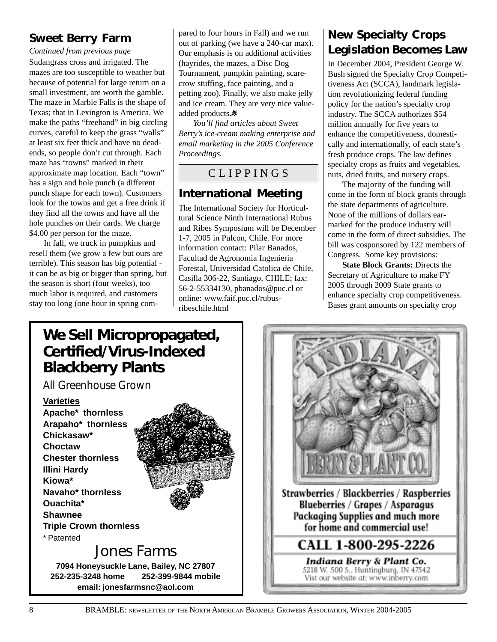## **Sweet Berry Farm**

*Continued from previous page*

Sudangrass cross and irrigated. The mazes are too susceptible to weather but because of potential for large return on a small investment, are worth the gamble. The maze in Marble Falls is the shape of Texas; that in Lexington is America. We make the paths "freehand" in big circling curves, careful to keep the grass "walls" at least six feet thick and have no deadends, so people don't cut through. Each maze has "towns" marked in their approximate map location. Each "town" has a sign and hole punch (a different punch shape for each town). Customers look for the towns and get a free drink if they find all the towns and have all the hole punches on their cards. We charge \$4.00 per person for the maze.

In fall, we truck in pumpkins and resell them (we grow a few but ours are terrible). This season has big potential it can be as big or bigger than spring, but the season is short (four weeks), too much labor is required, and customers stay too long (one hour in spring com-

pared to four hours in Fall) and we run out of parking (we have a 240-car max). Our emphasis is on additional activities (hayrides, the mazes, a Disc Dog Tournament, pumpkin painting, scarecrow stuffing, face painting, and a petting zoo). Finally, we also make jelly and ice cream. They are very nice valueadded products.\*

*You'll find articles about Sweet Berry's ice-cream making enterprise and email marketing in the 2005 Conference Proceedings.*

# C L I P P I N G S

# **International Meeting**

The International Society for Horticultural Science Ninth International Rubus and Ribes Symposium will be December 1-7, 2005 in Pulcon, Chile. For more information contact: Pilar Banados, Facultad de Agronomia Ingenieria Forestal, Universidad Catolica de Chile, Casilla 306-22, Santiago, CHILE; fax: 56-2-55334130, pbanados@puc.cl or online: www.faif.puc.cl/rubusribeschile.html

# **New Specialty Crops Legislation Becomes Law**

In December 2004, President George W. Bush signed the Specialty Crop Competitiveness Act (SCCA), landmark legislation revolutionizing federal funding policy for the nation's specialty crop industry. The SCCA authorizes \$54 million annually for five years to enhance the competitiveness, domestically and internationally, of each state's fresh produce crops. The law defines specialty crops as fruits and vegetables, nuts, dried fruits, and nursery crops.

The majority of the funding will come in the form of block grants through the state departments of agriculture. None of the millions of dollars earmarked for the produce industry will come in the form of direct subsidies. The bill was cosponsored by 122 members of Congress. Some key provisions:

**State Block Grants:** Directs the Secretary of Agriculture to make FY 2005 through 2009 State grants to enhance specialty crop competitiveness. Bases grant amounts on specialty crop

# **We Sell Micropropagated, Certified/Virus-Indexed Blackberry Plants**

*All Greenhouse Grown*

#### **Varieties**

**Apache\* thornless Arapaho\* thornless Chickasaw\* Choctaw Chester thornless Illini Hardy Kiowa\* Navaho\* thornless Ouachita\* Shawnee Triple Crown thornless** \* Patented



# Jones Farms

**7094 Honeysuckle Lane, Bailey, NC 27807 252-235-3248 home 252-399-9844 mobile email: jonesfarmsnc@aol.com**

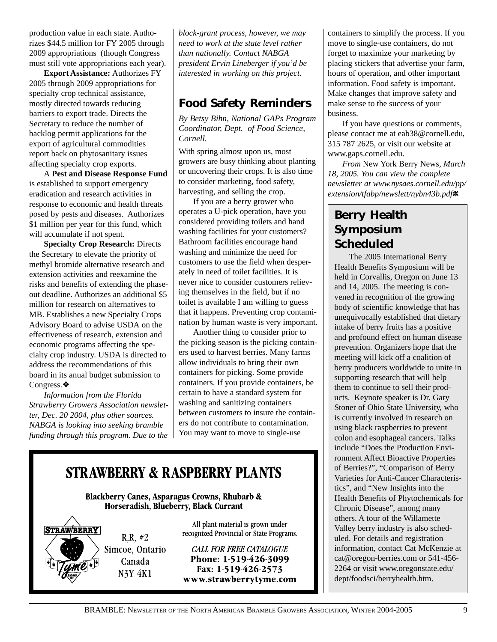production value in each state. Authorizes \$44.5 million for FY 2005 through 2009 appropriations (though Congress must still vote appropriations each year).

**Export Assistance:** Authorizes FY 2005 through 2009 appropriations for specialty crop technical assistance, mostly directed towards reducing barriers to export trade. Directs the Secretary to reduce the number of backlog permit applications for the export of agricultural commodities report back on phytosanitary issues affecting specialty crop exports.

A **Pest and Disease Response Fund** is established to support emergency eradication and research activities in response to economic and health threats posed by pests and diseases. Authorizes \$1 million per year for this fund, which will accumulate if not spent.

**Specialty Crop Research:** Directs the Secretary to elevate the priority of methyl bromide alternative research and extension activities and reexamine the risks and benefits of extending the phaseout deadline. Authorizes an additional \$5 million for research on alternatives to MB. Establishes a new Specialty Crops Advisory Board to advise USDA on the effectiveness of research, extension and economic programs affecting the specialty crop industry. USDA is directed to address the recommendations of this board in its anual budget submission to Congress.❖

*Information from the Florida Strawberry Growers Association newsletter, Dec. 20 2004, plus other sources. NABGA is looking into seeking bramble funding through this program. Due to the* *block-grant process, however, we may need to work at the state level rather than nationally. Contact NABGA president Ervin Lineberger if you'd be interested in working on this project.*

## **Food Safety Reminders**

*By Betsy Bihn, National GAPs Program Coordinator, Dept. of Food Science, Cornell.*

With spring almost upon us, most growers are busy thinking about planting or uncovering their crops. It is also time to consider marketing, food safety, harvesting, and selling the crop.

If you are a berry grower who operates a U-pick operation, have you considered providing toilets and hand washing facilities for your customers? Bathroom facilities encourage hand washing and minimize the need for customers to use the field when desperately in need of toilet facilities. It is never nice to consider customers relieving themselves in the field, but if no toilet is available I am willing to guess that it happens. Preventing crop contamination by human waste is very important.

Another thing to consider prior to the picking season is the picking containers used to harvest berries. Many farms allow individuals to bring their own containers for picking. Some provide containers. If you provide containers, be certain to have a standard system for washing and sanitizing containers between customers to insure the containers do not contribute to contamination. You may want to move to single-use

**STRAWBERRY & RASPBERRY PLANTS** 

**Blackberry Canes, Asparagus Crowns, Rhubarb &** Horseradish, Blueberry, Black Currant

**STRAWBERRY**  $R.R. #2$ Simcoe, Ontario Canada **N3Y 4K1** 

All plant material is grown under recognized Provincial or State Programs.

**CALL FOR FREE CATALOGUE** Phone: 1-519-426-3099 Fax: 1-519-426-2573 www.strawberrytyme.com containers to simplify the process. If you move to single-use containers, do not forget to maximize your marketing by placing stickers that advertise your farm, hours of operation, and other important information. Food safety is important. Make changes that improve safety and make sense to the success of your business.

If you have questions or comments, please contact me at eab38@cornell.edu, 315 787 2625, or visit our website at www.gaps.cornell.edu.

*From* New York Berry News*, March 18, 2005. You can view the complete newsletter at www.nysaes.cornell.edu/pp/ extension/tfabp/newslett/nybn43b.pdf*

# **Berry Health Symposium Scheduled**

The 2005 International Berry Health Benefits Symposium will be held in Corvallis, Oregon on June 13 and 14, 2005. The meeting is convened in recognition of the growing body of scientific knowledge that has unequivocally established that dietary intake of berry fruits has a positive and profound effect on human disease prevention. Organizers hope that the meeting will kick off a coalition of berry producers worldwide to unite in supporting research that will help them to continue to sell their products. Keynote speaker is Dr. Gary Stoner of Ohio State University, who is currently involved in research on using black raspberries to prevent colon and esophageal cancers. Talks include "Does the Production Environment Affect Bioactive Properties of Berries?", "Comparison of Berry Varieties for Anti-Cancer Characteristics", and "New Insights into the Health Benefits of Phytochemicals for Chronic Disease", among many others. A tour of the Willamette Valley berry industry is also scheduled. For details and registration information, contact Cat McKenzie at cat@oregon-berries.com or 541-456- 2264 or visit www.oregonstate.edu/ dept/foodsci/berryhealth.htm.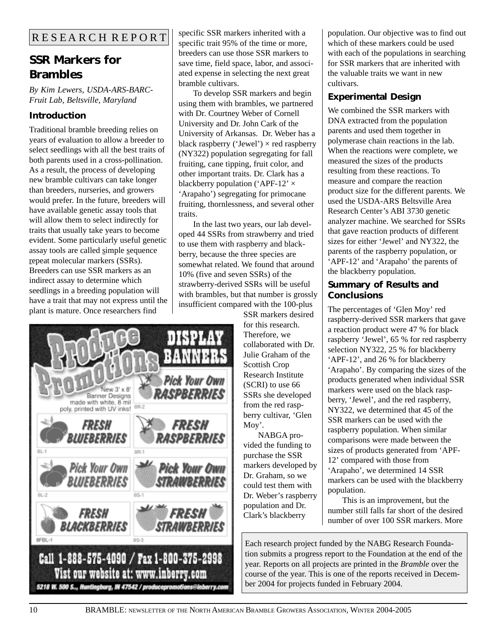# **SSR Markers for Brambles**

*By Kim Lewers, USDA-ARS-BARC-Fruit Lab, Beltsville, Maryland*

## **Introduction**

Traditional bramble breeding relies on years of evaluation to allow a breeder to select seedlings with all the best traits of both parents used in a cross-pollination. As a result, the process of developing new bramble cultivars can take longer than breeders, nurseries, and growers would prefer. In the future, breeders will have available genetic assay tools that will allow them to select indirectly for traits that usually take years to become evident. Some particularly useful genetic assay tools are called simple sequence repeat molecular markers (SSRs). Breeders can use SSR markers as an indirect assay to determine which seedlings in a breeding population will have a trait that may not express until the plant is mature. Once researchers find

specific SSR markers inherited with a specific trait 95% of the time or more, breeders can use those SSR markers to save time, field space, labor, and associated expense in selecting the next great bramble cultivars.

To develop SSR markers and begin using them with brambles, we partnered with Dr. Courtney Weber of Cornell University and Dr. John Cark of the University of Arkansas. Dr. Weber has a black raspberry ('Jewel')  $\times$  red raspberry (NY322) population segregating for fall fruiting, cane tipping, fruit color, and other important traits. Dr. Clark has a blackberry population ('APF-12'  $\times$ 'Arapaho') segregating for primocane fruiting, thornlessness, and several other traits.

In the last two years, our lab developed 44 SSRs from strawberry and tried to use them with raspberry and blackberry, because the three species are somewhat related. We found that around 10% (five and seven SSRs) of the strawberry-derived SSRs will be useful with brambles, but that number is grossly insufficient compared with the 100-plus

> SSR markers desired for this research. Therefore, we collaborated with Dr. Julie Graham of the Scottish Crop Research Institute (SCRI) to use 66 SSRs she developed from the red raspberry cultivar, 'Glen Moy'.

NABGA provided the funding to purchase the SSR markers developed by Dr. Graham, so we could test them with Dr. Weber's raspberry population and Dr. Clark's blackberry

population. Our objective was to find out which of these markers could be used with each of the populations in searching for SSR markers that are inherited with the valuable traits we want in new cultivars.

## **Experimental Design**

We combined the SSR markers with DNA extracted from the population parents and used them together in polymerase chain reactions in the lab. When the reactions were complete, we measured the sizes of the products resulting from these reactions. To measure and compare the reaction product size for the different parents. We used the USDA-ARS Beltsville Area Research Center's ABI 3730 genetic analyzer machine. We searched for SSRs that gave reaction products of different sizes for either 'Jewel' and NY322, the parents of the raspberry population, or 'APF-12' and 'Arapaho' the parents of the blackberry population.

### **Summary of Results and Conclusions**

The percentages of 'Glen Moy' red raspberry-derived SSR markers that gave a reaction product were 47 % for black raspberry 'Jewel', 65 % for red raspberry selection NY322, 25 % for blackberry 'APF-12', and 26 % for blackberry 'Arapaho'. By comparing the sizes of the products generated when individual SSR markers were used on the black raspberry, 'Jewel', and the red raspberry, NY322, we determined that 45 of the SSR markers can be used with the raspberry population. When similar comparisons were made between the sizes of products generated from 'APF-12' compared with those from 'Arapaho', we determined 14 SSR markers can be used with the blackberry population.

This is an improvement, but the number still falls far short of the desired number of over 100 SSR markers. More

Each research project funded by the NABG Research Foundation submits a progress report to the Foundation at the end of the year. Reports on all projects are printed in the *Bramble* over the course of the year. This is one of the reports received in December 2004 for projects funded in February 2004.

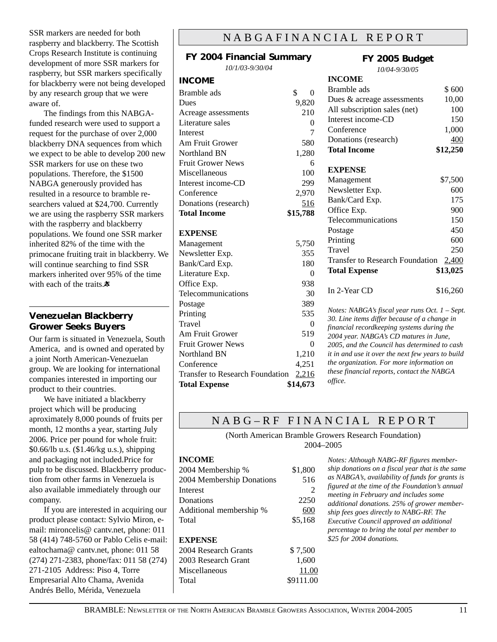SSR markers are needed for both raspberry and blackberry. The Scottish Crops Research Institute is continuing development of more SSR markers for raspberry, but SSR markers specifically for blackberry were not being developed by any research group that we were aware of.

The findings from this NABGAfunded research were used to support a request for the purchase of over 2,000 blackberry DNA sequences from which we expect to be able to develop 200 new SSR markers for use on these two populations. Therefore, the \$1500 NABGA generously provided has resulted in a resource to bramble researchers valued at \$24,700. Currently we are using the raspberry SSR markers with the raspberry and blackberry populations. We found one SSR marker inherited 82% of the time with the primocane fruiting trait in blackberry. We will continue searching to find SSR markers inherited over 95% of the time with each of the traits. $\ddot{\mathbf{x}}$ 

#### **Venezuelan Blackberry Grower Seeks Buyers**

Our farm is situated in Venezuela, South America, and is owned and operated by a joint North American-Venezuelan group. We are looking for international companies interested in importing our product to their countries.

We have initiated a blackberry project which will be producing aproximately 8,000 pounds of fruits per month, 12 months a year, starting July 2006. Price per pound for whole fruit: \$0.66/lb u.s. (\$1.46/kg u.s.), shipping and packaging not included.Price for pulp to be discussed. Blackberry production from other farms in Venezuela is also available immediately through our company.

If you are interested in acquiring our product please contact: Sylvio Miron, email: mironcelis@ cantv.net, phone: 011 58 (414) 748-5760 or Pablo Celis e-mail: ealtochama@ cantv.net, phone: 011 58 (274) 271-2383, phone/fax: 011 58 (274) 271-2105 Address: Piso 4, Torre Empresarial Alto Chama, Avenida Andrés Bello, Mérida, Venezuela

## NABGAFINANCIAL REPORT

| FY 2004 Financial Summary              |                |  |
|----------------------------------------|----------------|--|
| 10/1/03-9/30/04                        |                |  |
| <b>INCOME</b>                          |                |  |
| Bramble ads                            | \$<br>$\theta$ |  |
| Dues                                   | 9,820          |  |
| Acreage assessments                    | 210            |  |
| Literature sales                       | $\mathbf{0}$   |  |
| <b>Interest</b>                        | 7              |  |
| Am Fruit Grower                        | 580            |  |
| Northland BN                           | 1,280          |  |
| <b>Fruit Grower News</b>               | 6              |  |
| Miscellaneous                          | 100            |  |
| Interest income-CD                     | 299            |  |
| Conference                             | 2,970          |  |
| Donations (research)                   | 516            |  |
| <b>Total Income</b>                    | \$15,788       |  |
|                                        |                |  |
| <b>EXPENSE</b>                         |                |  |
| Management                             | 5,750          |  |
| Newsletter Exp.                        | 355            |  |
| Bank/Card Exp.                         | 180            |  |
| Literature Exp.                        | $\theta$       |  |
| Office Exp.                            | 938            |  |
| Telecommunications                     | 30             |  |
| Postage                                | 389            |  |
| Printing                               | 535            |  |
| Travel                                 | $\theta$       |  |
| Am Fruit Grower                        | 519            |  |
| <b>Fruit Grower News</b>               | $\theta$       |  |
| Northland BN                           | 1,210          |  |
| Conference                             | 4,251          |  |
| <b>Transfer to Research Foundation</b> | 2,216          |  |
| <b>Total Expense</b>                   | \$14,673       |  |

## **FY 2005 Budget**

*10/04-9/30/05*

| <b>INCOME</b>                                  |          |
|------------------------------------------------|----------|
| Bramble ads                                    | \$600    |
| Dues & acreage assessments                     | 10,00    |
| All subscription sales (net)                   | 100      |
| Interest income-CD                             | 150      |
| Conference                                     | 1,000    |
| Donations (research)                           | 400      |
| <b>Total Income</b>                            | \$12,250 |
| <b>EXPENSE</b>                                 |          |
| Management                                     | \$7,500  |
| Newsletter Exp.                                | 600      |
| Bank/Card Exp.                                 | 175      |
| Office Exp.                                    | 900      |
| Telecommunications                             | 150      |
| Postage                                        | 450      |
| Printing                                       | 600      |
| Travel                                         | 250      |
| <b>Transfer to Research Foundation</b>         | 2,400    |
| <b>Total Expense</b>                           | \$13,025 |
| In 2-Year CD                                   | \$16,260 |
| Notes: NABGA's fiscal year runs Oct. 1 - Sept. |          |
|                                                |          |

*30. Line items differ because of a change in financial recordkeeping systems during the 2004 year. NABGA's CD matures in June, 2005, and the Council has determined to cash it in and use it over the next few years to build the organization. For more information on these financial reports, contact the NABGA office.*

## NABG-RF FINANCIAL REPORT

(North American Bramble Growers Research Foundation) 2004–2005

#### **INCOME**

| 2004 Membership %         | \$1,800 |
|---------------------------|---------|
| 2004 Membership Donations | 516     |
| Interest                  | 2       |
| Donations                 | 2250    |
| Additional membership %   | 600     |
| Total                     | \$5,168 |
| <b>EXPENSE</b>            |         |
| 2004 Research Grants      | \$7,500 |
| 2003 Research Grant       | 1,600   |

*Notes: Although NABG-RF figures membership donations on a fiscal year that is the same as NABGA's, availability of funds for grants is figured at the time of the Foundation's annual meeting in February and includes some additional donations. 25% of grower membership fees goes directly to NABG-RF. The Executive Council approved an additional percentage to bring the total per member to \$25 for 2004 donations.*

Miscellaneous 11.00 Total \$9111.00